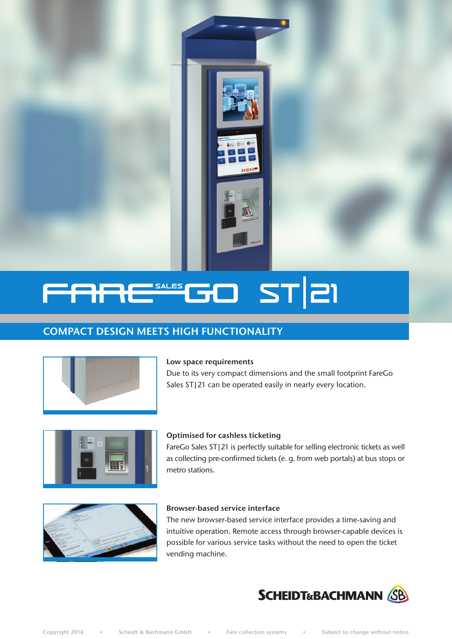

# STEI SALES<br>**Allena de la Carl de la Carl de la Carl de la Carl de la Carl de la Carl de la Ca**  $\Box$

# COMPACT DESIGN MEETS HIGH FUNCTIONALITY



#### Low space requirements

Due to its very compact dimensions and the small footprint FareGo Sales ST|21 can be operated easily in nearly every location.



#### Optimised for cashless ticketing

FareGo Sales ST|21 is perfectly suitable for selling electronic tickets as well as collecting pre-confirmed tickets (e. g. from web portals) at bus stops or metro stations.



#### Browser-based service interface

The new browser-based service interface provides a time-saving and intuitive operation. Remote access through browser-capable devices is possible for various service tasks without the need to open the ticket vending machine.